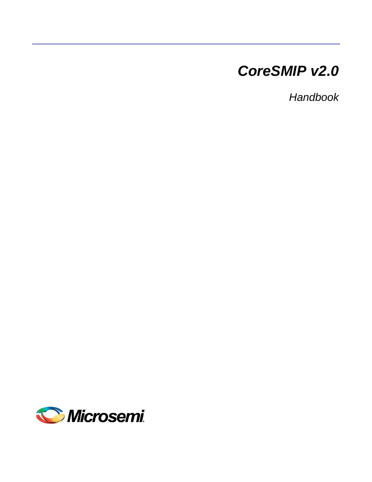# *CoreSMIP v2.0*

*Handbook*

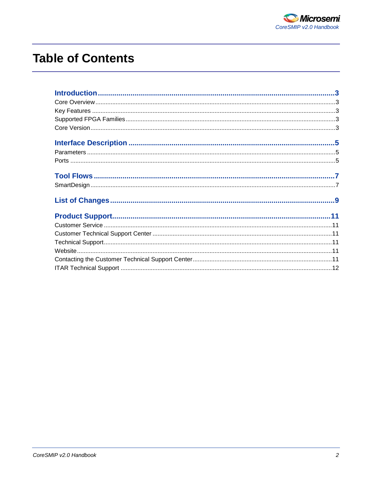

# **Table of Contents**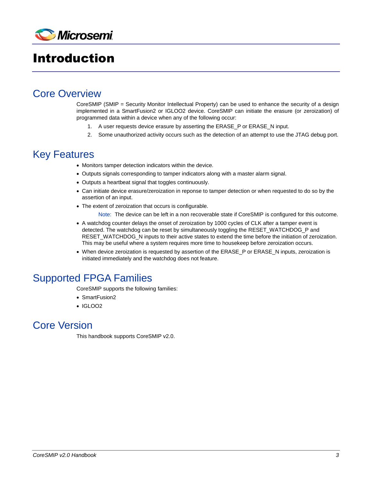

## <span id="page-2-0"></span>Introduction

## <span id="page-2-1"></span>Core Overview

CoreSMIP (SMIP = Security Monitor Intellectual Property) can be used to enhance the security of a design implemented in a SmartFusion2 or IGLOO2 device. CoreSMIP can initiate the erasure (or zeroization) of programmed data within a device when any of the following occur:

- 1. A user requests device erasure by asserting the ERASE\_P or ERASE\_N input.
- 2. Some unauthorized activity occurs such as the detection of an attempt to use the JTAG debug port.

### <span id="page-2-2"></span>Key Features

- Monitors tamper detection indicators within the device.
- Outputs signals corresponding to tamper indicators along with a master alarm signal.
- Outputs a heartbeat signal that toggles continuously.
- Can initiate device erasure/zeroization in reponse to tamper detection or when requested to do so by the assertion of an input.
- The extent of zeroization that occurs is configurable.
	- Note: The device can be left in a non recoverable state if CoreSMIP is configured for this outcome.
- A watchdog counter delays the onset of zeroization by 1000 cycles of CLK after a tamper event is detected. The watchdog can be reset by simultaneously toggling the RESET\_WATCHDOG\_P and RESET\_WATCHDOG\_N inputs to their active states to extend the time before the initiation of zeroization. This may be useful where a system requires more time to housekeep before zeroization occurs.
- When device zeroization is requested by assertion of the ERASE\_P or ERASE\_N inputs, zeroization is initiated immediately and the watchdog does not feature.

## <span id="page-2-3"></span>Supported FPGA Families

CoreSMIP supports the following families:

- SmartFusion2
- IGLOO2

## <span id="page-2-4"></span>Core Version

This handbook supports CoreSMIP v2.0.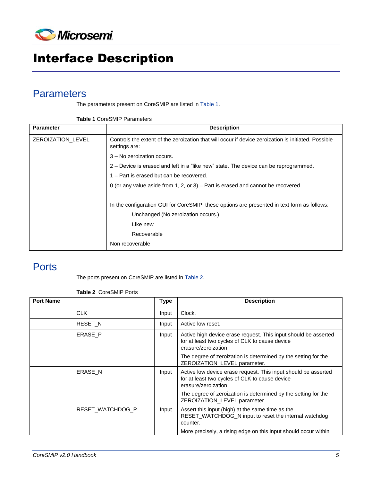

# <span id="page-4-0"></span>Interface Description

## <span id="page-4-1"></span>**Parameters**

The parameters present on CoreSMIP are listed i[n Table 1.](#page-4-3)

| <b>Table 1 CoreSMIP Parameters</b> |  |
|------------------------------------|--|
|------------------------------------|--|

<span id="page-4-3"></span>

| <b>Parameter</b>  | <b>Description</b>                                                                                                   |
|-------------------|----------------------------------------------------------------------------------------------------------------------|
| ZEROIZATION LEVEL | Controls the extent of the zeroization that will occur if device zeroization is initiated. Possible<br>settings are: |
|                   | 3 - No zeroization occurs.                                                                                           |
|                   | 2 – Device is erased and left in a "like new" state. The device can be reprogrammed.                                 |
|                   | 1 – Part is erased but can be recovered.                                                                             |
|                   | 0 (or any value aside from 1, 2, or 3) – Part is erased and cannot be recovered.                                     |
|                   |                                                                                                                      |
|                   | In the configuration GUI for CoreSMIP, these options are presented in text form as follows:                          |
|                   | Unchanged (No zeroization occurs.)                                                                                   |
|                   | Like new                                                                                                             |
|                   | Recoverable                                                                                                          |
|                   | Non recoverable                                                                                                      |

## <span id="page-4-2"></span>**Ports**

The ports present on CoreSMIP are listed in [Table 2.](#page-4-4)

| <b>Table 2 CoreSMIP Ports</b> |  |
|-------------------------------|--|
|                               |  |

<span id="page-4-4"></span>

| <b>Port Name</b> | <b>Type</b> | <b>Description</b>                                                                                                                        |
|------------------|-------------|-------------------------------------------------------------------------------------------------------------------------------------------|
| <b>CLK</b>       | Input       | Clock.                                                                                                                                    |
| <b>RESET N</b>   | Input       | Active low reset.                                                                                                                         |
| ERASE P          | Input       | Active high device erase request. This input should be asserted<br>for at least two cycles of CLK to cause device<br>erasure/zeroization. |
|                  |             | The degree of zeroization is determined by the setting for the<br>ZEROIZATION_LEVEL parameter.                                            |
| ERASE N          | Input       | Active low device erase request. This input should be asserted<br>for at least two cycles of CLK to cause device<br>erasure/zeroization.  |
|                  |             | The degree of zeroization is determined by the setting for the<br>ZEROIZATION LEVEL parameter.                                            |
| RESET WATCHDOG P | Input       | Assert this input (high) at the same time as the<br>RESET_WATCHDOG_N input to reset the internal watchdog<br>counter.                     |
|                  |             | More precisely, a rising edge on this input should occur within                                                                           |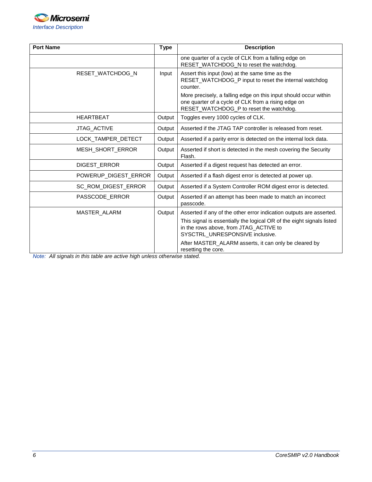

| <b>Port Name</b>     | <b>Type</b> | <b>Description</b>                                                                                                                                                                                                                                                                         |
|----------------------|-------------|--------------------------------------------------------------------------------------------------------------------------------------------------------------------------------------------------------------------------------------------------------------------------------------------|
|                      |             | one quarter of a cycle of CLK from a falling edge on<br>RESET_WATCHDOG_N to reset the watchdog.                                                                                                                                                                                            |
| RESET_WATCHDOG_N     | Input       | Assert this input (low) at the same time as the<br>RESET_WATCHDOG_P input to reset the internal watchdog<br>counter.<br>More precisely, a falling edge on this input should occur within<br>one quarter of a cycle of CLK from a rising edge on<br>RESET_WATCHDOG_P to reset the watchdog. |
| <b>HEARTBEAT</b>     | Output      | Toggles every 1000 cycles of CLK.                                                                                                                                                                                                                                                          |
| JTAG_ACTIVE          | Output      | Asserted if the JTAG TAP controller is released from reset.                                                                                                                                                                                                                                |
| LOCK_TAMPER_DETECT   | Output      | Asserted if a parity error is detected on the internal lock data.                                                                                                                                                                                                                          |
| MESH_SHORT_ERROR     | Output      | Asserted if short is detected in the mesh covering the Security<br>Flash.                                                                                                                                                                                                                  |
| DIGEST_ERROR         | Output      | Asserted if a digest request has detected an error.                                                                                                                                                                                                                                        |
| POWERUP DIGEST ERROR | Output      | Asserted if a flash digest error is detected at power up.                                                                                                                                                                                                                                  |
| SC_ROM_DIGEST_ERROR  | Output      | Asserted if a System Controller ROM digest error is detected.                                                                                                                                                                                                                              |
| PASSCODE ERROR       | Output      | Asserted if an attempt has been made to match an incorrect<br>passcode.                                                                                                                                                                                                                    |
| MASTER ALARM         | Output      | Asserted if any of the other error indication outputs are asserted.                                                                                                                                                                                                                        |
|                      |             | This signal is essentially the logical OR of the eight signals listed<br>in the rows above, from JTAG_ACTIVE to<br>SYSCTRL_UNRESPONSIVE inclusive.                                                                                                                                         |
|                      |             | After MASTER ALARM asserts, it can only be cleared by<br>resetting the core.                                                                                                                                                                                                               |

*Note: All signals in this table are active high unless otherwise stated.*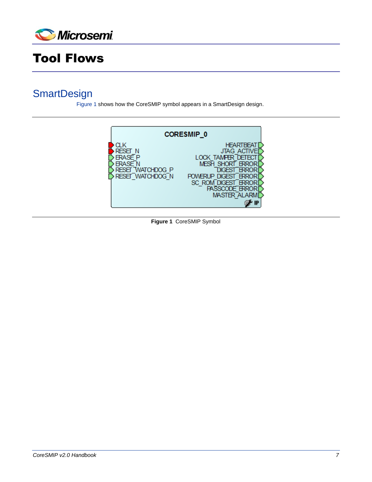

# <span id="page-6-0"></span>Tool Flows

## <span id="page-6-1"></span>**SmartDesign**

[Figure 1](#page-6-2) shows how the CoreSMIP symbol appears in a SmartDesign design.

<span id="page-6-2"></span>

**Figure 1** CoreSMIP Symbol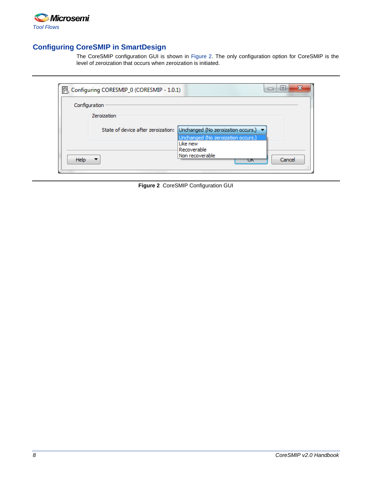

### **Configuring CoreSMIP in SmartDesign**

The CoreSMIP configuration GUI is shown in [Figure 2.](#page-7-0) The only configuration option for CoreSMIP is the level of zeroization that occurs when zeroization is initiated.

<span id="page-7-0"></span>

|      | Configuring CORESMIP_0 (CORESMIP - 1.0.1) |                                                                                                               | x<br>е<br>⊐   |
|------|-------------------------------------------|---------------------------------------------------------------------------------------------------------------|---------------|
|      | Configuration                             |                                                                                                               |               |
|      | Zeroization                               |                                                                                                               |               |
|      |                                           | State of device after zeroization: Unchanged (No zeroization occurs.) ▼<br>Unchanged (No zeroization occurs.) |               |
| Help |                                           | Like new<br>Recoverable<br>Non recoverable<br>ℼ                                                               | Cancel<br>444 |

**Figure 2** CoreSMIP Configuration GUI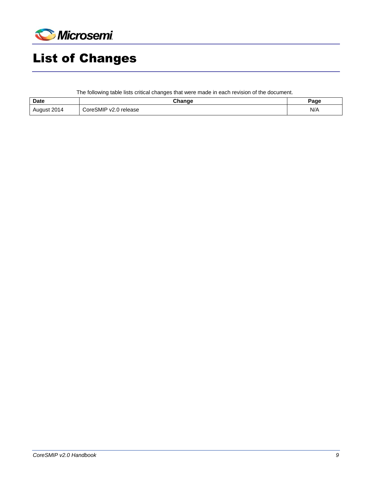

# <span id="page-8-0"></span>List of Changes

The following table lists critical changes that were made in each revision of the document.

| <b>Date</b> | Change                | Page |
|-------------|-----------------------|------|
| August 2014 | CoreSMIP v2.0 release | N/A  |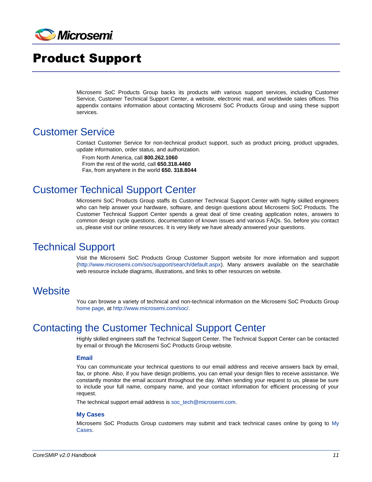

## <span id="page-10-0"></span>Product Support

Microsemi SoC Products Group backs its products with various support services, including Customer Service, Customer Technical Support Center, a website, electronic mail, and worldwide sales offices. This appendix contains information about contacting Microsemi SoC Products Group and using these support services.

## <span id="page-10-1"></span>Customer Service

Contact Customer Service for non-technical product support, such as product pricing, product upgrades, update information, order status, and authorization.

From North America, call **800.262.1060** From the rest of the world, call **650.318.4460** Fax, from anywhere in the world **650. 318.8044**

## <span id="page-10-2"></span>Customer Technical Support Center

Microsemi SoC Products Group staffs its Customer Technical Support Center with highly skilled engineers who can help answer your hardware, software, and design questions about Microsemi SoC Products. The Customer Technical Support Center spends a great deal of time creating application notes, answers to common design cycle questions, documentation of known issues and various FAQs. So, before you contact us, please visit our online resources. It is very likely we have already answered your questions.

## <span id="page-10-3"></span>Technical Support

Visit the Microsemi SoC Products Group Customer Support website for more information and support [\(http://www.microsemi.com/soc/support/search/default.aspx\)](http://www.microsemi.com/soc/support/search/default.aspx). Many answers available on the searchable web resource include diagrams, illustrations, and links to other resources on website.

### <span id="page-10-4"></span>**Website**

You can browse a variety of technical and non-technical information on the Microsemi SoC Products Group [home page,](http://www.microsemi.com/soc) at [http://www.microsemi.com/soc/.](http://www.microsemi.com/soc/)

## <span id="page-10-5"></span>Contacting the Customer Technical Support Center

Highly skilled engineers staff the Technical Support Center. The Technical Support Center can be contacted by email or through the Microsemi SoC Products Group website.

#### **Email**

You can communicate your technical questions to our email address and receive answers back by email, fax, or phone. Also, if you have design problems, you can email your design files to receive assistance. We constantly monitor the email account throughout the day. When sending your request to us, please be sure to include your full name, company name, and your contact information for efficient processing of your request.

The technical support email address is [soc\\_tech@microsemi.com.](mailto:soc_tech@microsemi.com)

#### **My Cases**

Microsemi SoC Products Group customers may submit and track technical cases online by going to [My](http://www.microsemi.com/soc/mycases/)  [Cases.](http://www.microsemi.com/soc/mycases/)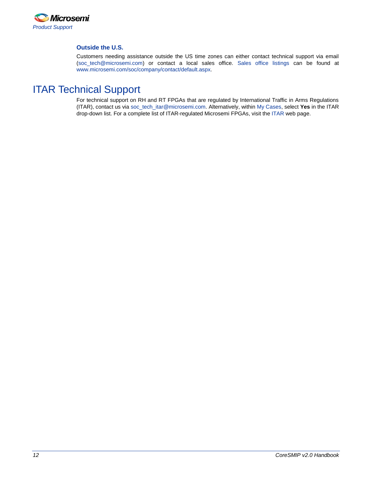

#### **Outside the U.S.**

Customers needing assistance outside the US time zones can either contact technical support via email [\(soc\\_tech@microsemi.com\)](mailto:soc_tech@microsemi.com) or contact a local sales office. [Sales office listings](http://www.microsemi.com/soc/company/contact/default.aspx) can be found a[t](http://www.microsemi.com/soc/company/contact/default.aspx) [www.microsemi.com/soc/company/contact/default.aspx.](http://www.microsemi.com/soc/company/contact/default.aspx)

## <span id="page-11-0"></span>[ITAR Technical Support](http://www.microsemi.com/soc/company/contact/default.aspx#itartechsupport)

For technical support on RH and RT FPGAs that are regulated by International Traffic in Arms Regulations (ITAR), contact us via [soc\\_tech\\_itar@microsemi.com.](mailto:soc_tech_itar@microsemi.com) Alternatively, within [My Cases,](http://www.microsemi.com/mycases/) select **Yes** in the ITAR drop-down list. For a complete list of ITAR-regulated Microsemi FPGAs, visit the [ITAR](http://www.microsemi.com/soc/ITAR/) web page.